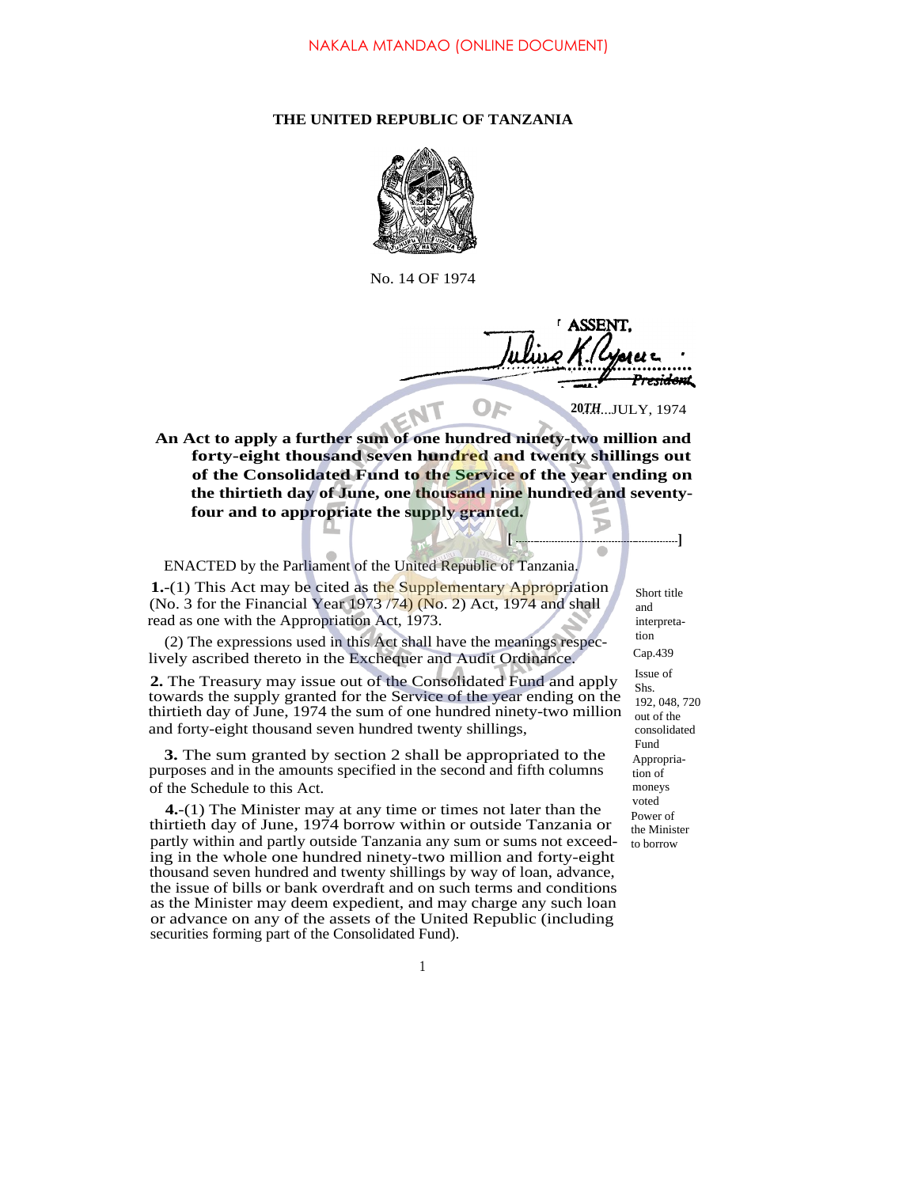## **THE UNITED REPUBLIC OF TANZANIA**



No. 14 OF 1974

<del>sider</del>u **20**........JULY, 1974 *TH*

**[**

**An Act to apply a further sum of one hundred ninety-two million and forty-eight thousand seven hundred and twenty shillings out of the Consolidated Fund to the Service of the year ending on the thirtieth day of June, one thousand nine hundred and seventyfour and to appropriate the supply granted.**

ENACTED by the Parliament of the United Republic of Tanzania.

**1.**-(1) This Act may be cited as the Supplementary Appropriation (No. 3 for the Financial Year 1973 /74) (No. 2) Act, 1974 and shall read as one with the Appropriation Act, 1973.

(2) The expressions used in this Act shall have the meanings respeclively ascribed thereto in the Exchequer and Audit Ordinance.

**2.** The Treasury may issue out of the Consolidated Fund and apply towards the supply granted for the Service of the year ending on the thirtieth day of June, 1974 the sum of one hundred ninety-two million and forty-eight thousand seven hundred twenty shillings,

**3.** The sum granted by section 2 shall be appropriated to the purposes and in the amounts specified in the second and fifth columns of the Schedule to this Act.

**4.**-(1) The Minister may at any time or times not later than the thirtieth day of June, 1974 borrow within or outside Tanzania or partly within and partly outside Tanzania any sum or sums not exceeding in the whole one hundred ninety-two million and forty-eight thousand seven hundred and twenty shillings by way of loan, advance, the issue of bills or bank overdraft and on such terms and conditions as the Minister may deem expedient, and may charge any such loan or advance on any of the assets of the United Republic (including securities forming part of the Consolidated Fund).

Power of the Minister to borrow Appropriation of moneys voted Issue of Shs. 192, 048, 720 out of the consolidated Fund Cap.439 Short title and interpretation

**]**

D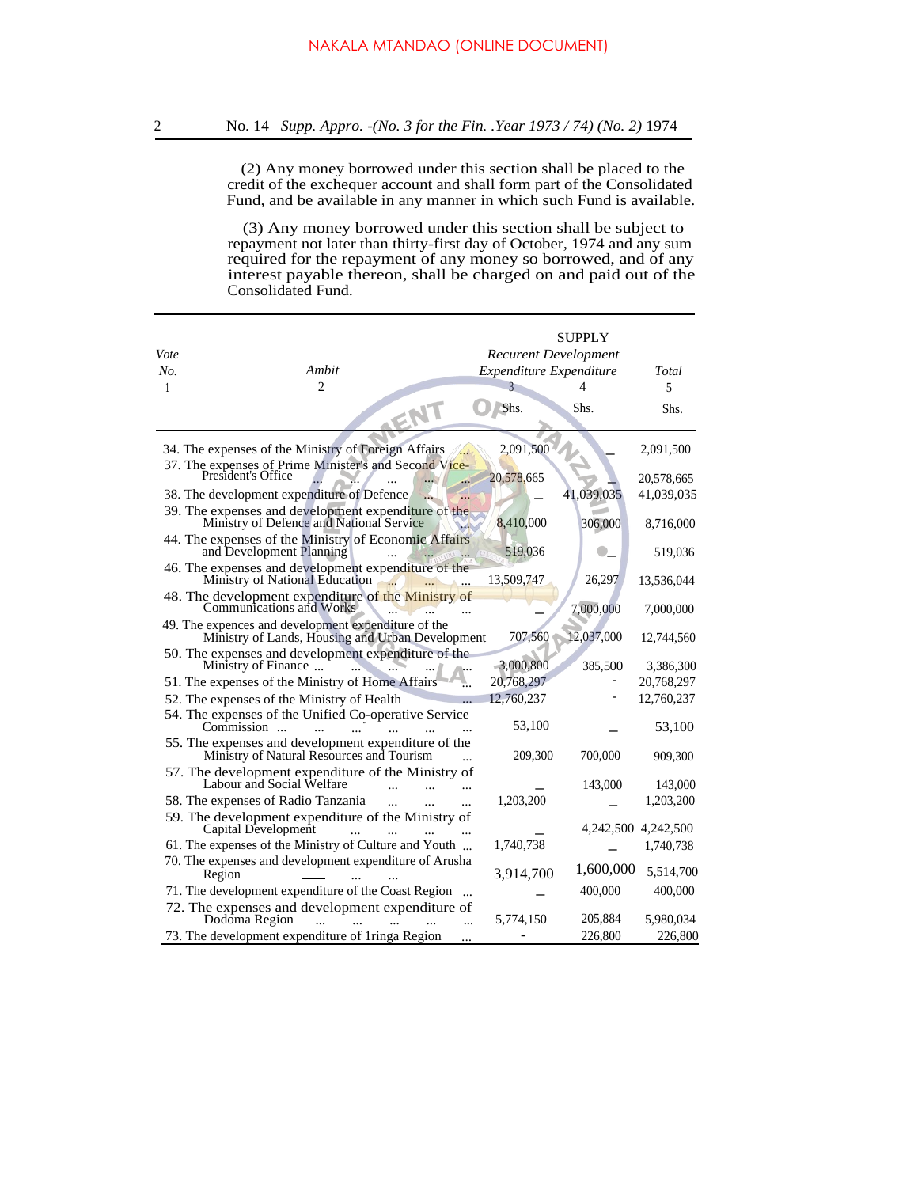(2) Any money borrowed under this section shall be placed to the credit of the exchequer account and shall form part of the Consolidated Fund, and be available in any manner in which such Fund is available.

(3) Any money borrowed under this section shall be subject to repayment not later than thirty-first day of October, 1974 and any sum required for the repayment of any money so borrowed, and of any interest payable thereon, shall be charged on and paid out of the Consolidated Fund.

|      |                                                                                                         |                             | <b>SUPPLY</b> |            |
|------|---------------------------------------------------------------------------------------------------------|-----------------------------|---------------|------------|
| Vote |                                                                                                         | <b>Recurent Development</b> |               |            |
| No.  | Ambit                                                                                                   | Expenditure Expenditure     |               | Total      |
| 1    | 2                                                                                                       |                             |               | 5          |
|      |                                                                                                         | Shs.                        | Shs.          | Shs.       |
|      | 34. The expenses of the Ministry of Foreign Affairs                                                     | 2,091,500                   |               | 2,091,500  |
|      | 37. The expenses of Prime Minister's and Second Vice-<br>President's Office                             | 20,578,665                  |               | 20,578,665 |
|      | 38. The development expenditure of Defence                                                              |                             | 41,039,035    | 41,039,035 |
|      | 39. The expenses and development expenditure of the Ministry of Defence and National Service            | 8,410,000                   | 306,000       | 8,716,000  |
|      | 44. The expenses of the Ministry of Economic Affairs<br>and Development Planning                        | 519,036                     |               | 519,036    |
|      | 46. The expenses and development expenditure of the<br>Ministry of National Education                   | 13,509,747                  | 26,297        | 13,536,044 |
|      | 48. The development expenditure of the Ministry of<br>Communications and Works                          |                             | 7,000,000     | 7,000,000  |
|      | 49. The expences and development expenditure of the<br>Ministry of Lands, Housing and Urban Development | 707,560                     | 12,037,000    | 12,744,560 |
|      | 50. The expenses and development expenditure of the<br>Ministry of Finance                              | 3,000,800                   | 385,500       | 3,386,300  |
|      | 51. The expenses of the Ministry of Home Affairs                                                        | 20,768,297                  |               | 20,768,297 |
|      | 52. The expenses of the Ministry of Health                                                              | 12,760,237                  |               | 12,760,237 |
|      | 54. The expenses of the Unified Co-operative Service<br>Commission                                      | 53,100                      |               | 53,100     |
|      | 55. The expenses and development expenditure of the<br>Ministry of Natural Resources and Tourism        | 209,300                     | 700,000       | 909,300    |
|      | 57. The development expenditure of the Ministry of<br>Labour and Social Welfare                         |                             | 143,000       | 143,000    |
|      | 58. The expenses of Radio Tanzania<br>$\sim$                                                            | 1,203,200                   |               | 1,203,200  |
|      | 59. The development expenditure of the Ministry of<br>Capital Development                               |                             | 4,242,500     | 4,242,500  |
|      | 61. The expenses of the Ministry of Culture and Youth                                                   | 1,740,738                   |               | 1,740,738  |
|      | 70. The expenses and development expenditure of Arusha<br>Region                                        | 3,914,700                   | 1,600,000     | 5,514,700  |
|      | 71. The development expenditure of the Coast Region                                                     |                             | 400,000       | 400,000    |
|      | 72. The expenses and development expenditure of<br>Dodoma Region                                        | 5,774,150                   | 205,884       | 5,980,034  |
|      | 73. The development expenditure of 1ringa Region                                                        |                             | 226,800       | 226,800    |